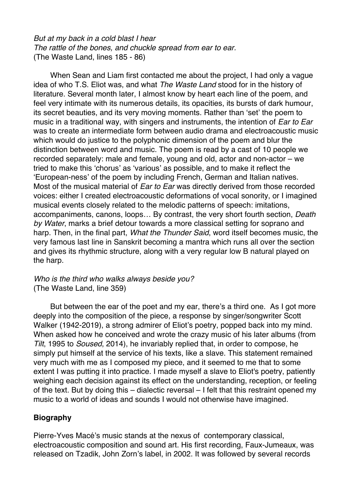*But at my back in a cold blast I hear The rattle of the bones, and chuckle spread from ear to ear.* (The Waste Land, lines 185 - 86)

When Sean and Liam first contacted me about the project, I had only a vague idea of who T.S. Eliot was, and what *The Waste Land* stood for in the history of literature. Several month later, I almost know by heart each line of the poem, and feel very intimate with its numerous details, its opacities, its bursts of dark humour, its secret beauties, and its very moving moments. Rather than 'set' the poem to music in a traditional way, with singers and instruments, the intention of *Ear to Ear* was to create an intermediate form between audio drama and electroacoustic music which would do justice to the polyphonic dimension of the poem and blur the distinction between word and music. The poem is read by a cast of 10 people we recorded separately: male and female, young and old, actor and non-actor – we tried to make this 'chorus' as 'various' as possible, and to make it reflect the 'European-ness' of the poem by including French, German and Italian natives. Most of the musical material of *Ear to Ear* was directly derived from those recorded voices: either I created electroacoustic deformations of vocal sonority, or I imagined musical events closely related to the melodic patterns of speech: imitations, accompaniments, canons, loops… By contrast, the very short fourth section, *Death by Water*, marks a brief detour towards a more classical setting for soprano and harp. Then, in the final part, *What the Thunder Said*, word itself becomes music, the very famous last line in Sanskrit becoming a mantra which runs all over the section and gives its rhythmic structure, along with a very regular low B natural played on the harp.

## *Who is the third who walks always beside you?* (The Waste Land, line 359)

But between the ear of the poet and my ear, there's a third one. As I got more deeply into the composition of the piece, a response by singer/songwriter Scott Walker (1942-2019), a strong admirer of Eliot's poetry, popped back into my mind. When asked how he conceived and wrote the crazy music of his later albums (from *Tilt*, 1995 to *Soused*, 2014), he invariably replied that, in order to compose, he simply put himself at the service of his texts, like a slave. This statement remained very much with me as I composed my piece, and it seemed to me that to some extent I was putting it into practice. I made myself a slave to Eliot's poetry, patiently weighing each decision against its effect on the understanding, reception, or feeling of the text. But by doing this – dialectic reversal – I felt that this restraint opened my music to a world of ideas and sounds I would not otherwise have imagined.

## **Biography**

Pierre-Yves Macé's music stands at the nexus of contemporary classical, electroacoustic composition and sound art. His first recording, Faux-Jumeaux, was released on Tzadik, John Zorn's label, in 2002. It was followed by several records